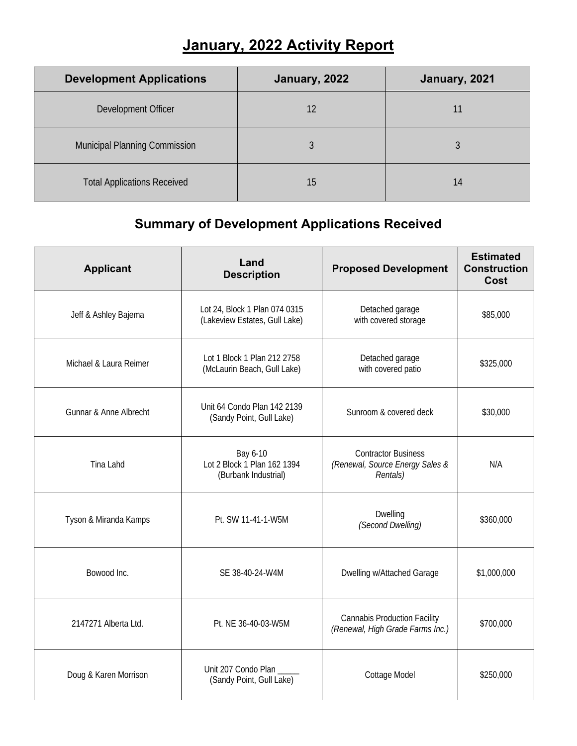## **January, 2022 Activity Report**

| <b>Development Applications</b>    | January, 2022 | January, 2021 |
|------------------------------------|---------------|---------------|
| Development Officer                | 12            |               |
| Municipal Planning Commission      |               |               |
| <b>Total Applications Received</b> | 15            | 14            |

## **Summary of Development Applications Received**

| <b>Applicant</b>                  | Land<br><b>Description</b>                                      | <b>Proposed Development</b>                                               | <b>Estimated</b><br><b>Construction</b><br>Cost |
|-----------------------------------|-----------------------------------------------------------------|---------------------------------------------------------------------------|-------------------------------------------------|
| Jeff & Ashley Bajema              | Lot 24, Block 1 Plan 074 0315<br>(Lakeview Estates, Gull Lake)  | Detached garage<br>with covered storage                                   | \$85,000                                        |
| Michael & Laura Reimer            | Lot 1 Block 1 Plan 212 2758<br>(McLaurin Beach, Gull Lake)      | Detached garage<br>with covered patio                                     | \$325,000                                       |
| <b>Gunnar &amp; Anne Albrecht</b> | Unit 64 Condo Plan 142 2139<br>(Sandy Point, Gull Lake)         | Sunroom & covered deck                                                    | \$30,000                                        |
| Tina Lahd                         | Bay 6-10<br>Lot 2 Block 1 Plan 162 1394<br>(Burbank Industrial) | <b>Contractor Business</b><br>(Renewal, Source Energy Sales &<br>Rentals) | N/A                                             |
| Tyson & Miranda Kamps             | Pt. SW 11-41-1-W5M                                              | Dwelling<br>(Second Dwelling)                                             | \$360,000                                       |
| Bowood Inc.                       | SE 38-40-24-W4M                                                 | Dwelling w/Attached Garage                                                | \$1,000,000                                     |
| 2147271 Alberta Ltd.              | Pt. NE 36-40-03-W5M                                             | <b>Cannabis Production Facility</b><br>(Renewal, High Grade Farms Inc.)   | \$700,000                                       |
| Doug & Karen Morrison             | Unit 207 Condo Plan<br>(Sandy Point, Gull Lake)                 | Cottage Model                                                             | \$250,000                                       |